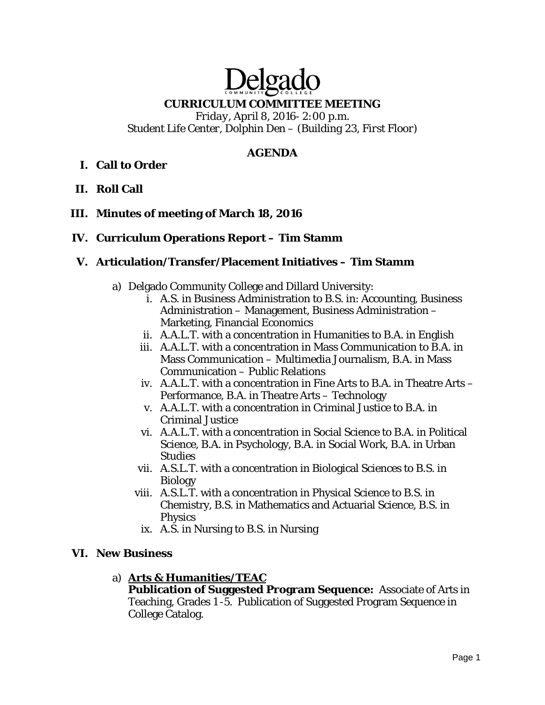# Delgado

## **CURRICULUM COMMITTEE MEETING**

*Friday, April 8, 2016- 2:00 p.m. Student Life Center, Dolphin Den – (Building 23, First Floor)* 

## **AGENDA**

# **I. Call to Order**

**II. Roll Call** 

## **III. Minutes of meeting of March 18, 2016**

## **IV. Curriculum Operations Report – Tim Stamm**

## **V. Articulation/Transfer/Placement Initiatives – Tim Stamm**

- a) Delgado Community College and Dillard University:
	- i. A.S. in Business Administration to B.S. in: Accounting, Business Administration – Management, Business Administration – Marketing, Financial Economics
	- ii. A.A.L.T. with a concentration in Humanities to B.A. in English
	- iii. A.A.L.T. with a concentration in Mass Communication to B.A. in Mass Communication – Multimedia Journalism, B.A. in Mass Communication – Public Relations
	- iv. A.A.L.T. with a concentration in Fine Arts to B.A. in Theatre Arts Performance, B.A. in Theatre Arts – Technology
	- v. A.A.L.T. with a concentration in Criminal Justice to B.A. in Criminal Justice
	- vi. A.A.L.T. with a concentration in Social Science to B.A. in Political Science, B.A. in Psychology, B.A. in Social Work, B.A. in Urban Studies
	- vii. A.S.L.T. with a concentration in Biological Sciences to B.S. in Biology
	- viii. A.S.L.T. with a concentration in Physical Science to B.S. in Chemistry, B.S. in Mathematics and Actuarial Science, B.S. in Physics
		- ix. A.S. in Nursing to B.S. in Nursing

#### **VI. New Business**

a) **Arts & Humanities/TEAC** 

**Publication of Suggested Program Sequence:** Associate of Arts in Teaching, Grades 1 -5. Publication of Suggested Program Sequence in College Catalog.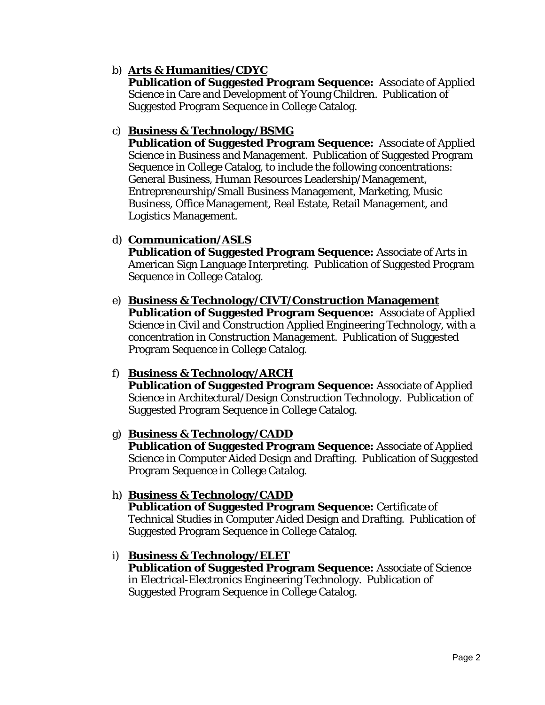# b) **Arts & Humanities/CDYC**

**Publication of Suggested Program Sequence:** Associate of Applied Science in Care and Development of Young Children. Publication of Suggested Program Sequence in College Catalog.

## c) **Business & Technology/BSMG**

**Publication of Suggested Program Sequence:** Associate of Applied Science in Business and Management. Publication of Suggested Program Sequence in College Catalog, to include the following concentrations: General Business, Human Resources Leadership/Management, Entrepreneurship/Small Business Management, Marketing, Music Business, Office Management, Real Estate, Retail Management, and Logistics Management.

## d) **Communication/ASLS**

**Publication of Suggested Program Sequence:** Associate of Arts in American Sign Language Interpreting. Publication of Suggested Program Sequence in College Catalog.

# e) **Business & Technology/CIVT/Construction Management**

**Publication of Suggested Program Sequence:** Associate of Applied Science in Civil and Construction Applied Engineering Technology, with a concentration in Construction Management. Publication of Suggested Program Sequence in College Catalog.

## f) **Business & Technology/ARCH**

**Publication of Suggested Program Sequence:** Associate of Applied Science in Architectural/Design Construction Technology. Publication of Suggested Program Sequence in College Catalog.

## g) **Business & Technology/CADD**

**Publication of Suggested Program Sequence:** Associate of Applied Science in Computer Aided Design and Drafting. Publication of Suggested Program Sequence in College Catalog.

## h) **Business & Technology/CADD**

**Publication of Suggested Program Sequence:** Certificate of Technical Studies in Computer Aided Design and Drafting. Publication of Suggested Program Sequence in College Catalog.

## i) **Business & Technology/ELET**

**Publication of Suggested Program Sequence:** Associate of Science in Electrical-Electronics Engineering Technology. Publication of Suggested Program Sequence in College Catalog.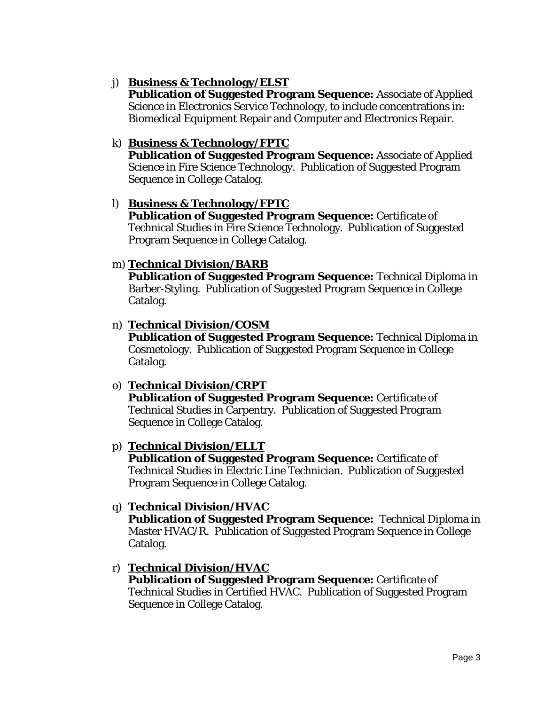# j) **Business & Technology/ELST**

**Publication of Suggested Program Sequence:** Associate of Applied Science in Electronics Service Technology, to include concentrations in: Biomedical Equipment Repair and Computer and Electronics Repair.

# k) **Business & Technology/FPTC**

**Publication of Suggested Program Sequence:** Associate of Applied Science in Fire Science Technology. Publication of Suggested Program Sequence in College Catalog.

## l) **Business & Technology/FPTC**

**Publication of Suggested Program Sequence:** Certificate of Technical Studies in Fire Science Technology. Publication of Suggested Program Sequence in College Catalog.

## m) **Technical Division/BARB**

**Publication of Suggested Program Sequence:** Technical Diploma in Barber-Styling. Publication of Suggested Program Sequence in College Catalog.

## n) **Technical Division/COSM**

**Publication of Suggested Program Sequence:** Technical Diploma in Cosmetology. Publication of Suggested Program Sequence in College Catalog.

## o) **Technical Division/CRPT**

**Publication of Suggested Program Sequence:** Certificate of Technical Studies in Carpentry. Publication of Suggested Program Sequence in College Catalog.

## p) **Technical Division/ELLT**

**Publication of Suggested Program Sequence:** Certificate of Technical Studies in Electric Line Technician. Publication of Suggested Program Sequence in College Catalog.

# q) **Technical Division/HVAC**

**Publication of Suggested Program Sequence:** Technical Diploma in Master HVAC/R. Publication of Suggested Program Sequence in College Catalog.

# r) **Technical Division/HVAC**

**Publication of Suggested Program Sequence:** Certificate of Technical Studies in Certified HVAC. Publication of Suggested Program Sequence in College Catalog.